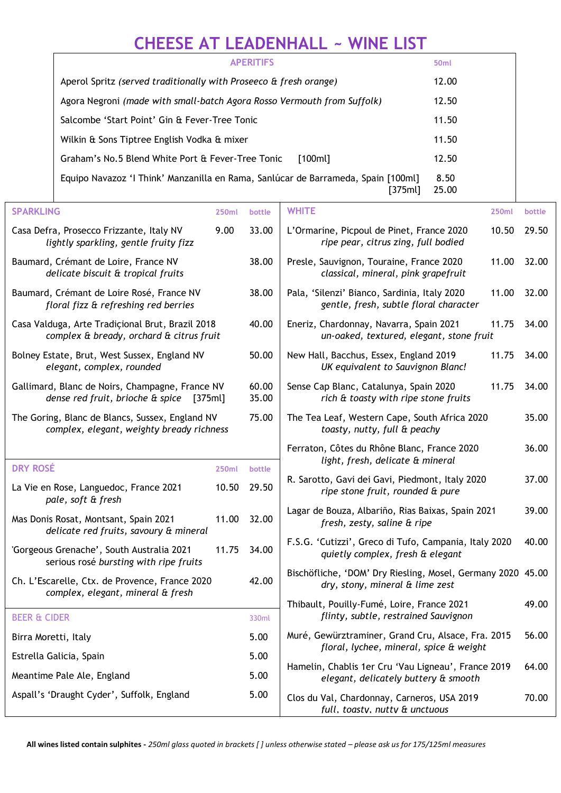## **CHEESE AT LEADENHALL ~ WINE LIST**

| <b>APERITIFS</b>                                                                             | 50 <sub>ml</sub> |
|----------------------------------------------------------------------------------------------|------------------|
| Aperol Spritz (served traditionally with Proseeco & fresh orange)                            | 12.00            |
| Agora Negroni (made with small-batch Agora Rosso Vermouth from Suffolk)                      | 12.50            |
| Salcombe 'Start Point' Gin & Fever-Tree Tonic                                                | 11.50            |
| Wilkin & Sons Tiptree English Vodka & mixer                                                  | 11.50            |
| Graham's No.5 Blend White Port & Fever-Tree Tonic<br>[100ml]                                 | 12.50            |
| Equipo Navazoz 'I Think' Manzanilla en Rama, Sanlúcar de Barrameda, Spain [100ml]<br>[375ml] | 8.50<br>25.00    |

| <b>SPARKLING</b>                                                                               | <b>250ml</b> | bottle         | <b>WHITE</b><br>250ml                                                                           | bottle |
|------------------------------------------------------------------------------------------------|--------------|----------------|-------------------------------------------------------------------------------------------------|--------|
| Casa Defra, Prosecco Frizzante, Italy NV<br>lightly sparkling, gentle fruity fizz              | 9.00         | 33.00          | L'Ormarine, Picpoul de Pinet, France 2020<br>10.50<br>ripe pear, citrus zing, full bodied       | 29.50  |
| Baumard, Crémant de Loire, France NV<br>delicate biscuit & tropical fruits                     |              | 38.00          | Presle, Sauvignon, Touraine, France 2020<br>11.00<br>classical, mineral, pink grapefruit        | 32.00  |
| Baumard, Crémant de Loire Rosé, France NV<br>floral fizz & refreshing red berries              |              | 38.00          | Pala, 'Silenzi' Bianco, Sardinia, Italy 2020<br>11.00<br>gentle, fresh, subtle floral character | 32.00  |
| Casa Valduga, Arte Tradicional Brut, Brazil 2018<br>complex & bready, orchard & citrus fruit   |              | 40.00          | 11.75<br>Eneriz, Chardonnay, Navarra, Spain 2021<br>un-oaked, textured, elegant, stone fruit    | 34.00  |
| Bolney Estate, Brut, West Sussex, England NV<br>elegant, complex, rounded                      |              | 50.00          | New Hall, Bacchus, Essex, England 2019<br>11.75<br>UK equivalent to Sauvignon Blanc!            | 34.00  |
| Gallimard, Blanc de Noirs, Champagne, France NV<br>dense red fruit, brioche & spice<br>[375ml] |              | 60.00<br>35.00 | Sense Cap Blanc, Catalunya, Spain 2020<br>11.75<br>rich & toasty with ripe stone fruits         | 34.00  |
| The Goring, Blanc de Blancs, Sussex, England NV<br>complex, elegant, weighty bready richness   |              | 75.00          | The Tea Leaf, Western Cape, South Africa 2020<br>toasty, nutty, full & peachy                   | 35.00  |
|                                                                                                |              |                | Ferraton, Côtes du Rhône Blanc, France 2020<br>light, fresh, delicate & mineral                 | 36.00  |
| <b>DRY ROSÉ</b>                                                                                | <b>250ml</b> | bottle         |                                                                                                 |        |
| La Vie en Rose, Languedoc, France 2021<br>pale, soft & fresh                                   | 10.50        | 29.50          | R. Sarotto, Gavi dei Gavi, Piedmont, Italy 2020<br>ripe stone fruit, rounded & pure             | 37.00  |
| Mas Donis Rosat, Montsant, Spain 2021<br>delicate red fruits, savoury & mineral                | 11.00        | 32.00          | Lagar de Bouza, Albariño, Rias Baixas, Spain 2021<br>fresh, zesty, saline & ripe                | 39.00  |
| 'Gorgeous Grenache', South Australia 2021<br>serious rosé bursting with ripe fruits            | 11.75        | 34.00          | F.S.G. 'Cutizzi', Greco di Tufo, Campania, Italy 2020<br>quietly complex, fresh & elegant       | 40.00  |
| Ch. L'Escarelle, Ctx. de Provence, France 2020<br>complex, elegant, mineral & fresh            |              | 42.00          | Bischöfliche, 'DOM' Dry Riesling, Mosel, Germany 2020 45.00<br>dry, stony, mineral & lime zest  |        |
|                                                                                                |              |                | Thibault, Pouilly-Fumé, Loire, France 2021                                                      | 49.00  |
| <b>BEER &amp; CIDER</b>                                                                        |              | 330ml          | flinty, subtle, restrained Sauvignon                                                            |        |
| Birra Moretti, Italy                                                                           |              | 5.00           | Muré, Gewürztraminer, Grand Cru, Alsace, Fra. 2015<br>floral, lychee, mineral, spice & weight   | 56.00  |
| Estrella Galicia, Spain                                                                        |              | 5.00           | Hamelin, Chablis 1er Cru 'Vau Ligneau', France 2019                                             | 64.00  |
| Meantime Pale Ale, England                                                                     |              | 5.00           | elegant, delicately buttery & smooth                                                            |        |
| Aspall's 'Draught Cyder', Suffolk, England                                                     |              | 5.00           | Clos du Val, Chardonnay, Carneros, USA 2019<br>full, toastv, nuttv & unctuous                   |        |